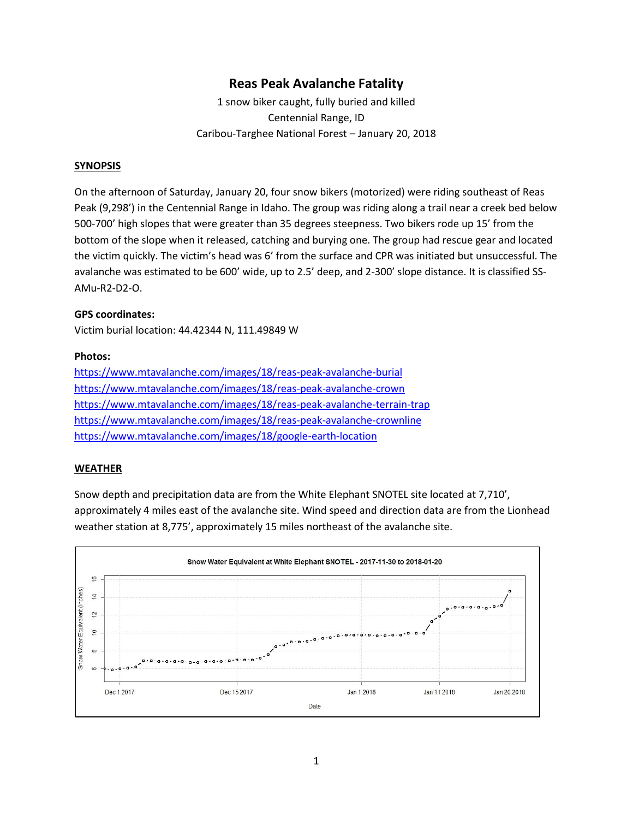# **Reas Peak Avalanche Fatality**

1 snow biker caught, fully buried and killed Centennial Range, ID Caribou-Targhee National Forest – January 20, 2018

### **SYNOPSIS**

On the afternoon of Saturday, January 20, four snow bikers (motorized) were riding southeast of Reas Peak (9,298') in the Centennial Range in Idaho. The group was riding along a trail near a creek bed below 500-700' high slopes that were greater than 35 degrees steepness. Two bikers rode up 15' from the bottom of the slope when it released, catching and burying one. The group had rescue gear and located the victim quickly. The victim's head was 6' from the surface and CPR was initiated but unsuccessful. The avalanche was estimated to be 600' wide, up to 2.5' deep, and 2-300' slope distance. It is classified SS-AMu-R2-D2-O.

#### **GPS coordinates:**

Victim burial location: 44.42344 N, 111.49849 W

#### **Photos:**

<https://www.mtavalanche.com/images/18/reas-peak-avalanche-burial> <https://www.mtavalanche.com/images/18/reas-peak-avalanche-crown> <https://www.mtavalanche.com/images/18/reas-peak-avalanche-terrain-trap> <https://www.mtavalanche.com/images/18/reas-peak-avalanche-crownline> <https://www.mtavalanche.com/images/18/google-earth-location>

#### **WEATHER**

Snow depth and precipitation data are from the White Elephant SNOTEL site located at 7,710', approximately 4 miles east of the avalanche site. Wind speed and direction data are from the Lionhead weather station at 8,775', approximately 15 miles northeast of the avalanche site.

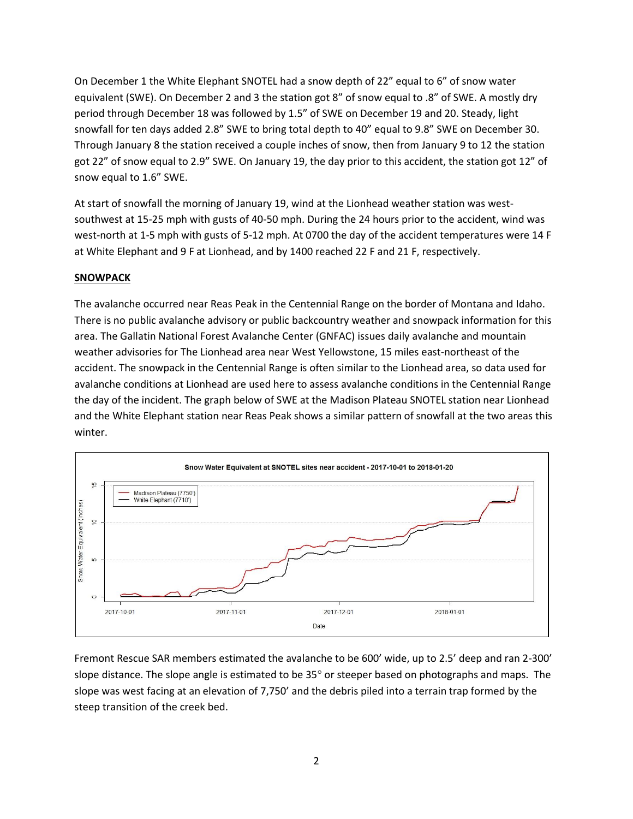On December 1 the White Elephant SNOTEL had a snow depth of 22" equal to 6" of snow water equivalent (SWE). On December 2 and 3 the station got 8" of snow equal to .8" of SWE. A mostly dry period through December 18 was followed by 1.5" of SWE on December 19 and 20. Steady, light snowfall for ten days added 2.8" SWE to bring total depth to 40" equal to 9.8" SWE on December 30. Through January 8 the station received a couple inches of snow, then from January 9 to 12 the station got 22" of snow equal to 2.9" SWE. On January 19, the day prior to this accident, the station got 12" of snow equal to 1.6" SWE.

At start of snowfall the morning of January 19, wind at the Lionhead weather station was westsouthwest at 15-25 mph with gusts of 40-50 mph. During the 24 hours prior to the accident, wind was west-north at 1-5 mph with gusts of 5-12 mph. At 0700 the day of the accident temperatures were 14 F at White Elephant and 9 F at Lionhead, and by 1400 reached 22 F and 21 F, respectively.

## **SNOWPACK**

The avalanche occurred near Reas Peak in the Centennial Range on the border of Montana and Idaho. There is no public avalanche advisory or public backcountry weather and snowpack information for this area. The Gallatin National Forest Avalanche Center (GNFAC) issues daily avalanche and mountain weather advisories for The Lionhead area near West Yellowstone, 15 miles east-northeast of the accident. The snowpack in the Centennial Range is often similar to the Lionhead area, so data used for avalanche conditions at Lionhead are used here to assess avalanche conditions in the Centennial Range the day of the incident. The graph below of SWE at the Madison Plateau SNOTEL station near Lionhead and the White Elephant station near Reas Peak shows a similar pattern of snowfall at the two areas this winter.



Fremont Rescue SAR members estimated the avalanche to be 600' wide, up to 2.5' deep and ran 2-300' slope distance. The slope angle is estimated to be  $35^{\circ}$  or steeper based on photographs and maps. The slope was west facing at an elevation of 7,750' and the debris piled into a terrain trap formed by the steep transition of the creek bed.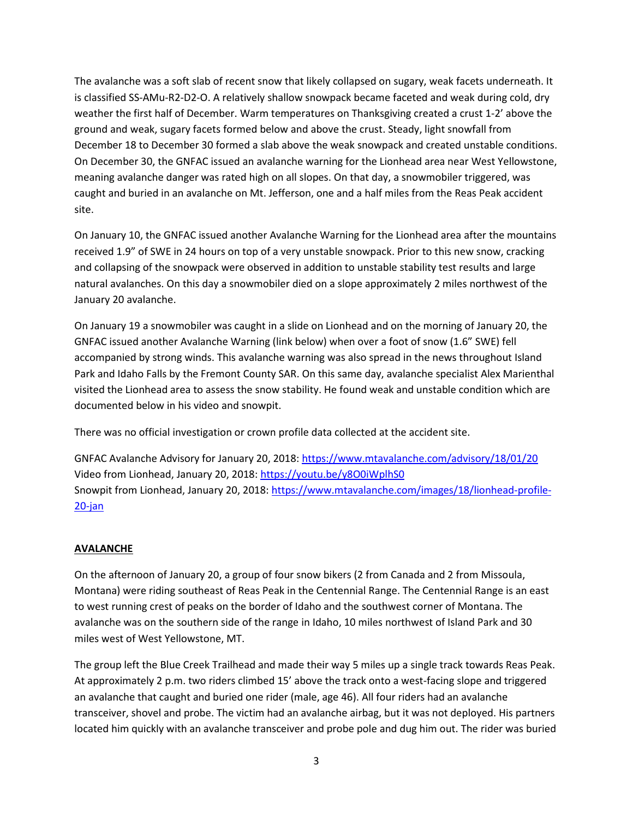The avalanche was a soft slab of recent snow that likely collapsed on sugary, weak facets underneath. It is classified SS-AMu-R2-D2-O. A relatively shallow snowpack became faceted and weak during cold, dry weather the first half of December. Warm temperatures on Thanksgiving created a crust 1-2' above the ground and weak, sugary facets formed below and above the crust. Steady, light snowfall from December 18 to December 30 formed a slab above the weak snowpack and created unstable conditions. On December 30, the GNFAC issued an avalanche warning for the Lionhead area near West Yellowstone, meaning avalanche danger was rated high on all slopes. On that day, a snowmobiler triggered, was caught and buried in an avalanche on Mt. Jefferson, one and a half miles from the Reas Peak accident site.

On January 10, the GNFAC issued another Avalanche Warning for the Lionhead area after the mountains received 1.9" of SWE in 24 hours on top of a very unstable snowpack. Prior to this new snow, cracking and collapsing of the snowpack were observed in addition to unstable stability test results and large natural avalanches. On this day a snowmobiler died on a slope approximately 2 miles northwest of the January 20 avalanche.

On January 19 a snowmobiler was caught in a slide on Lionhead and on the morning of January 20, the GNFAC issued another Avalanche Warning (link below) when over a foot of snow (1.6" SWE) fell accompanied by strong winds. This avalanche warning was also spread in the news throughout Island Park and Idaho Falls by the Fremont County SAR. On this same day, avalanche specialist Alex Marienthal visited the Lionhead area to assess the snow stability. He found weak and unstable condition which are documented below in his video and snowpit.

There was no official investigation or crown profile data collected at the accident site.

GNFAC Avalanche Advisory for January 20, 2018:<https://www.mtavalanche.com/advisory/18/01/20> Video from Lionhead, January 20, 2018: <https://youtu.be/y8O0iWplhS0> Snowpit from Lionhead, January 20, 2018[: https://www.mtavalanche.com/images/18/lionhead-profile-](https://www.mtavalanche.com/images/18/lionhead-profile-20-jan)[20-jan](https://www.mtavalanche.com/images/18/lionhead-profile-20-jan)

## **AVALANCHE**

On the afternoon of January 20, a group of four snow bikers (2 from Canada and 2 from Missoula, Montana) were riding southeast of Reas Peak in the Centennial Range. The Centennial Range is an east to west running crest of peaks on the border of Idaho and the southwest corner of Montana. The avalanche was on the southern side of the range in Idaho, 10 miles northwest of Island Park and 30 miles west of West Yellowstone, MT.

The group left the Blue Creek Trailhead and made their way 5 miles up a single track towards Reas Peak. At approximately 2 p.m. two riders climbed 15' above the track onto a west-facing slope and triggered an avalanche that caught and buried one rider (male, age 46). All four riders had an avalanche transceiver, shovel and probe. The victim had an avalanche airbag, but it was not deployed. His partners located him quickly with an avalanche transceiver and probe pole and dug him out. The rider was buried